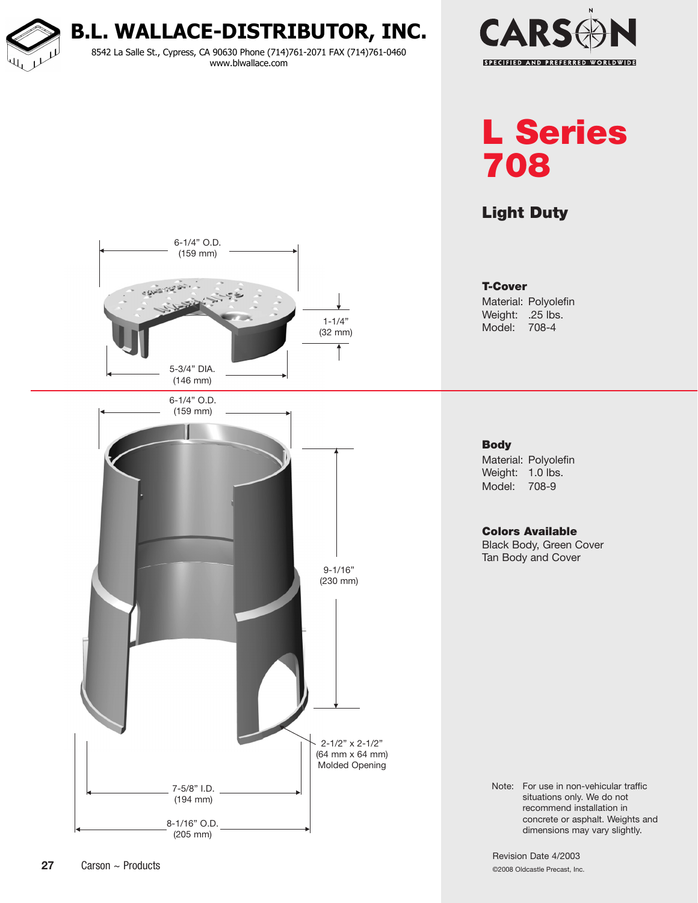**B.L. WALLACE-DISTRIBUTOR, INC.**

8542 La Salle St., Cypress, CA 90630 Phone (714)761-2071 FAX (714)761-0460 www.blwallace.com



# L Series 708

## Light Duty



T-Cover Material: Polyolefin Weight: .25 lbs.

Model: 708-4

#### **Body**

Material: Polyolefin Weight: 1.0 lbs. Model: 708-9

Colors Available Black Body, Green Cover Tan Body and Cover

Note: For use in non-vehicular traffic situations only. We do not recommend installation in concrete or asphalt. Weights and dimensions may vary slightly.

Revision Date 4/2003 ©2008 Oldcastle Precast, Inc.

(194 mm)

8-1/16" O.D. (205 mm)